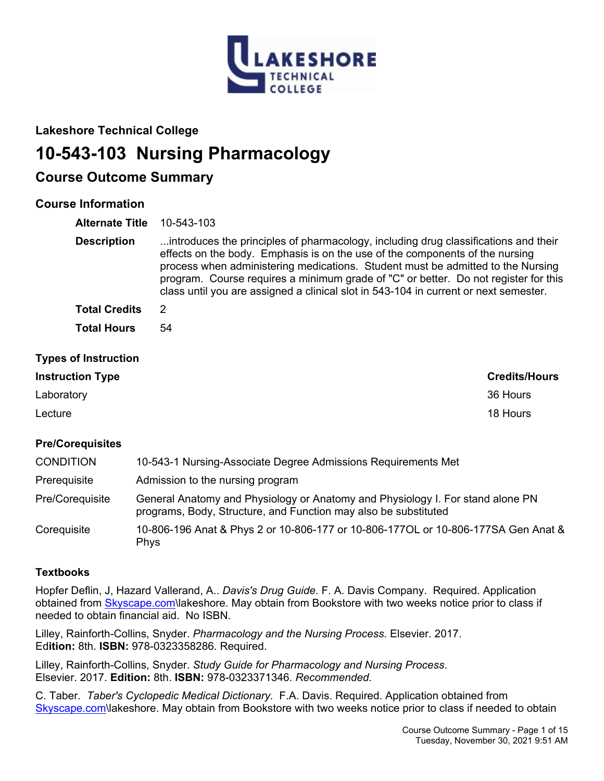

## **Lakeshore Technical College**

# **10-543-103 Nursing Pharmacology**

## **Course Outcome Summary**

## **Course Information**

**Alternate Title** 10-543-103

**Description** ...introduces the principles of pharmacology, including drug classifications and their effects on the body. Emphasis is on the use of the components of the nursing process when administering medications. Student must be admitted to the Nursing program. Course requires a minimum grade of "C" or better. Do not register for this class until you are assigned a clinical slot in 543-104 in current or next semester. **Total Credits** 2 **Total Hours** 54

### **Types of Instruction**

# **Instruction Type Credits/Hours** Laboratory 36 Hours Lecture 18 Hours

### **Pre/Corequisites**

| <b>CONDITION</b> | 10-543-1 Nursing-Associate Degree Admissions Requirements Met                                                                                     |
|------------------|---------------------------------------------------------------------------------------------------------------------------------------------------|
| Prerequisite     | Admission to the nursing program                                                                                                                  |
| Pre/Coreguisite  | General Anatomy and Physiology or Anatomy and Physiology I. For stand alone PN<br>programs, Body, Structure, and Function may also be substituted |
| Coreguisite      | 10-806-196 Anat & Phys 2 or 10-806-177 or 10-806-177OL or 10-806-177SA Gen Anat &<br><b>Phys</b>                                                  |

### **Textbooks**

Hopfer Deflin, J, Hazard Vallerand, A.. *Davis's Drug Guide*. F. A. Davis Company. Required. Application obtained from [Skyscape.com\](file:///C:/Websites/WIDS_Lakeshore/Skyscape.com)lakeshore. May obtain from Bookstore with two weeks notice prior to class if needed to obtain financial aid. No ISBN.

Lilley, Rainforth-Collins, Snyder. *Pharmacology and the Nursing Process*. Elsevier. 2017. Ed**ition:** 8th. **ISBN:** 978-0323358286. Required.

Lilley, Rainforth-Collins, Snyder. *Study Guide for Pharmacology and Nursing Process*. Elsevier. 2017. **Edition:** 8th. **ISBN:** 978-0323371346. *Recommended.*

C. Taber. *Taber's Cyclopedic Medical Dictionary.* F.A. Davis. Required. Application obtained from [Skyscape.com\](file:///C:/Websites/WIDS_Lakeshore/Skyscape.com)lakeshore. May obtain from Bookstore with two weeks notice prior to class if needed to obtain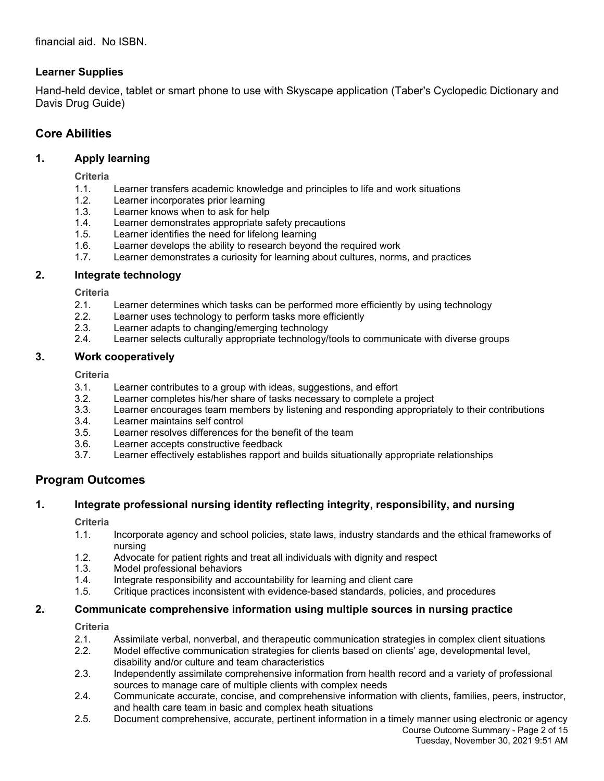## **Learner Supplies**

Hand-held device, tablet or smart phone to use with Skyscape application (Taber's Cyclopedic Dictionary and Davis Drug Guide)

## **Core Abilities**

### **1. Apply learning**

**Criteria**

- 1.1. Learner transfers academic knowledge and principles to life and work situations
- 1.2. Learner incorporates prior learning
- 1.3. Learner knows when to ask for help<br>1.4. Learner demonstrates appropriate s
- Learner demonstrates appropriate safety precautions
- 1.5. Learner identifies the need for lifelong learning
- 1.6. Learner develops the ability to research beyond the required work
- 1.7. Learner demonstrates a curiosity for learning about cultures, norms, and practices

### **2. Integrate technology**

**Criteria**

- 2.1. Learner determines which tasks can be performed more efficiently by using technology
- 2.2. Learner uses technology to perform tasks more efficiently<br>2.3. Learner adapts to changing/emerging technology
- Learner adapts to changing/emerging technology
- 2.4. Learner selects culturally appropriate technology/tools to communicate with diverse groups

#### **3. Work cooperatively**

**Criteria**

- 3.1. Learner contributes to a group with ideas, suggestions, and effort
- 3.2. Learner completes his/her share of tasks necessary to complete a project
- 3.3. Learner encourages team members by listening and responding appropriately to their contributions
- 3.4. Learner maintains self control
- 3.5. Learner resolves differences for the benefit of the team
- 3.6. Learner accepts constructive feedback
- 3.7. Learner effectively establishes rapport and builds situationally appropriate relationships

## **Program Outcomes**

## **1. Integrate professional nursing identity reflecting integrity, responsibility, and nursing**

**Criteria**

- 1.1. Incorporate agency and school policies, state laws, industry standards and the ethical frameworks of nursing
- 1.2. Advocate for patient rights and treat all individuals with dignity and respect
- 1.3. Model professional behaviors
- 1.4. Integrate responsibility and accountability for learning and client care
- 1.5. Critique practices inconsistent with evidence-based standards, policies, and procedures

### **2. Communicate comprehensive information using multiple sources in nursing practice**

**Criteria**

- 2.1. Assimilate verbal, nonverbal, and therapeutic communication strategies in complex client situations
- 2.2. Model effective communication strategies for clients based on clients' age, developmental level, disability and/or culture and team characteristics
- 2.3. Independently assimilate comprehensive information from health record and a variety of professional sources to manage care of multiple clients with complex needs
- 2.4. Communicate accurate, concise, and comprehensive information with clients, families, peers, instructor, and health care team in basic and complex heath situations
- Course Outcome Summary Page 2 of 15 Tuesday, November 30, 2021 9:51 AM 2.5. Document comprehensive, accurate, pertinent information in a timely manner using electronic or agency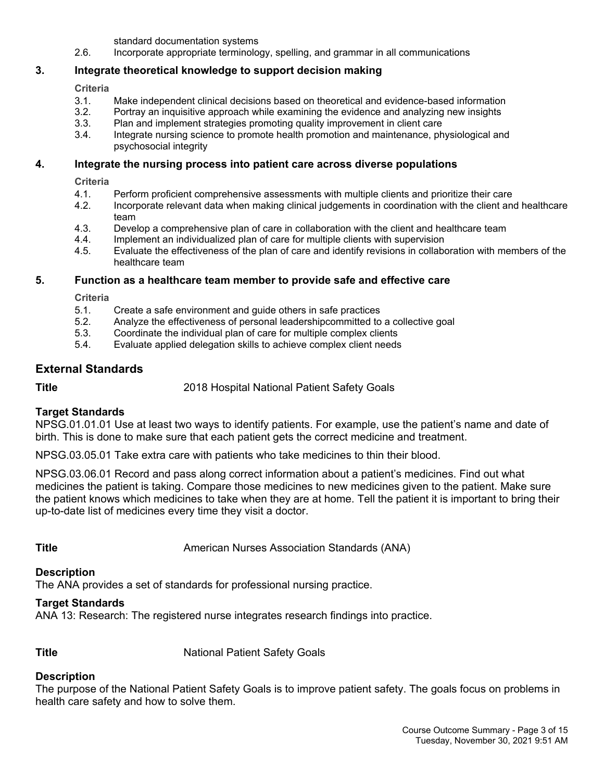standard documentation systems

2.6. Incorporate appropriate terminology, spelling, and grammar in all communications

### **3. Integrate theoretical knowledge to support decision making**

#### **Criteria**

- 3.1. Make independent clinical decisions based on theoretical and evidence-based information
- 3.2. Portray an inquisitive approach while examining the evidence and analyzing new insights
- 3.3. Plan and implement strategies promoting quality improvement in client care
- 3.4. Integrate nursing science to promote health promotion and maintenance, physiological and psychosocial integrity

#### **4. Integrate the nursing process into patient care across diverse populations**

**Criteria**

- 4.1. Perform proficient comprehensive assessments with multiple clients and prioritize their care
- 4.2. Incorporate relevant data when making clinical judgements in coordination with the client and healthcare team
- 4.3. Develop a comprehensive plan of care in collaboration with the client and healthcare team
- 4.4. Implement an individualized plan of care for multiple clients with supervision
- 4.5. Evaluate the effectiveness of the plan of care and identify revisions in collaboration with members of the healthcare team

#### **5. Function as a healthcare team member to provide safe and effective care**

**Criteria**

- 5.1. Create a safe environment and guide others in safe practices
- 5.2. Analyze the effectiveness of personal leadershipcommitted to a collective goal
- 5.3. Coordinate the individual plan of care for multiple complex clients
- 5.4. Evaluate applied delegation skills to achieve complex client needs

### **External Standards**

**Title** 2018 Hospital National Patient Safety Goals

### **Target Standards**

NPSG.01.01.01 Use at least two ways to identify patients. For example, use the patient's name and date of birth. This is done to make sure that each patient gets the correct medicine and treatment.

NPSG.03.05.01 Take extra care with patients who take medicines to thin their blood.

NPSG.03.06.01 Record and pass along correct information about a patient's medicines. Find out what medicines the patient is taking. Compare those medicines to new medicines given to the patient. Make sure the patient knows which medicines to take when they are at home. Tell the patient it is important to bring their up-to-date list of medicines every time they visit a doctor.

**Title American Nurses Association Standards (ANA)** 

#### **Description**

The ANA provides a set of standards for professional nursing practice.

#### **Target Standards**

ANA 13: Research: The registered nurse integrates research findings into practice.

**Title** National Patient Safety Goals

### **Description**

The purpose of the National Patient Safety Goals is to improve patient safety. The goals focus on problems in health care safety and how to solve them.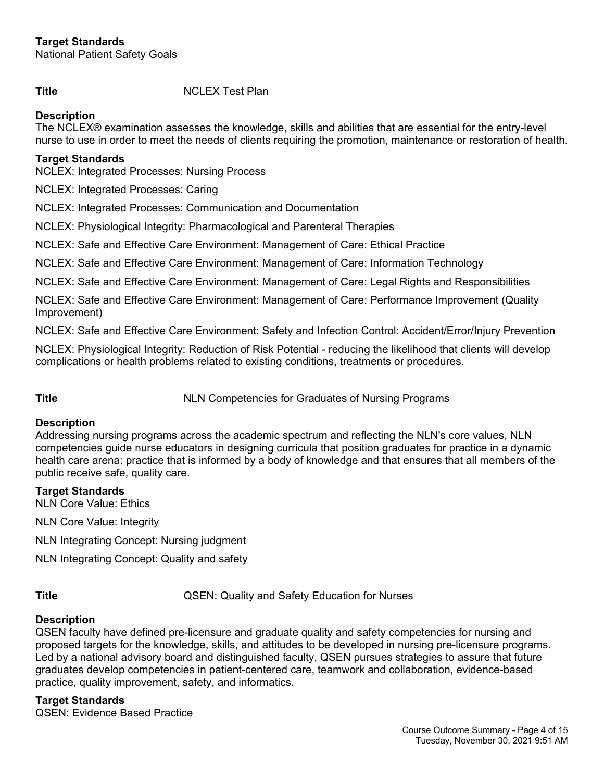National Patient Safety Goals

**Title** NCLEX Test Plan

### **Description**

The NCLEX® examination assesses the knowledge, skills and abilities that are essential for the entry-level nurse to use in order to meet the needs of clients requiring the promotion, maintenance or restoration of health.

#### **Target Standards**

NCLEX: Integrated Processes: Nursing Process

NCLEX: Integrated Processes: Caring

NCLEX: Integrated Processes: Communication and Documentation

NCLEX: Physiological Integrity: Pharmacological and Parenteral Therapies

NCLEX: Safe and Effective Care Environment: Management of Care: Ethical Practice

NCLEX: Safe and Effective Care Environment: Management of Care: Information Technology

NCLEX: Safe and Effective Care Environment: Management of Care: Legal Rights and Responsibilities

NCLEX: Safe and Effective Care Environment: Management of Care: Performance Improvement (Quality Improvement)

NCLEX: Safe and Effective Care Environment: Safety and Infection Control: Accident/Error/Injury Prevention

NCLEX: Physiological Integrity: Reduction of Risk Potential - reducing the likelihood that clients will develop complications or health problems related to existing conditions, treatments or procedures.

**Title** NLN Competencies for Graduates of Nursing Programs

#### **Description**

Addressing nursing programs across the academic spectrum and reflecting the NLN's core values, NLN competencies guide nurse educators in designing curricula that position graduates for practice in a dynamic health care arena: practice that is informed by a body of knowledge and that ensures that all members of the public receive safe, quality care.

#### **Target Standards**

NLN Core Value: Ethics

NLN Core Value: Integrity

NLN Integrating Concept: Nursing judgment

NLN Integrating Concept: Quality and safety

**Title Title Title CON:** QSEN: Quality and Safety Education for Nurses

### **Description**

QSEN faculty have defined pre-licensure and graduate quality and safety competencies for nursing and proposed targets for the knowledge, skills, and attitudes to be developed in nursing pre-licensure programs. Led by a national advisory board and distinguished faculty, QSEN pursues strategies to assure that future graduates develop competencies in patient-centered care, teamwork and collaboration, evidence-based practice, quality improvement, safety, and informatics.

#### **Target Standards**

QSEN: Evidence Based Practice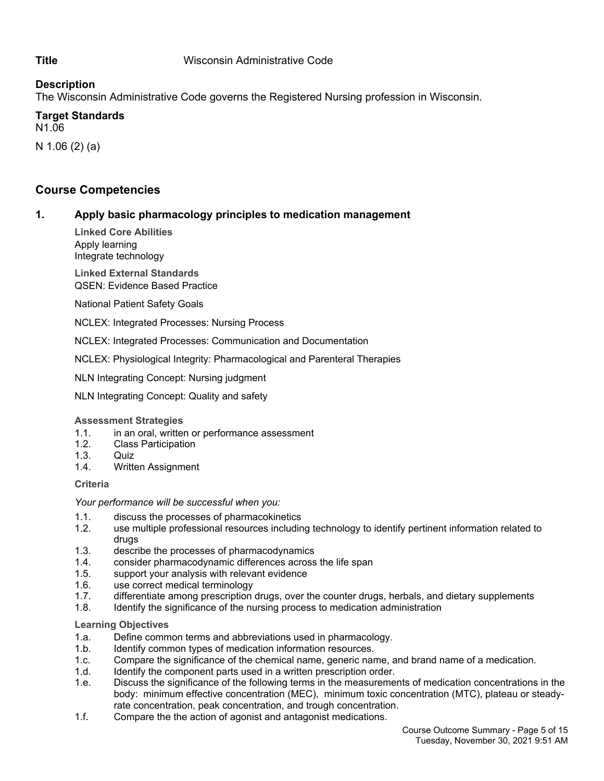#### **Description**

The Wisconsin Administrative Code governs the Registered Nursing profession in Wisconsin.

# **Target Standards**

N1.06

N 1.06 (2) (a)

## **Course Competencies**

### **1. Apply basic pharmacology principles to medication management**

**Linked Core Abilities** Apply learning Integrate technology

**Linked External Standards** QSEN: Evidence Based Practice

National Patient Safety Goals

NCLEX: Integrated Processes: Nursing Process

NCLEX: Integrated Processes: Communication and Documentation

NCLEX: Physiological Integrity: Pharmacological and Parenteral Therapies

NLN Integrating Concept: Nursing judgment

NLN Integrating Concept: Quality and safety

#### **Assessment Strategies**

- 1.1. in an oral, written or performance assessment
- 1.2. Class Participation
- 1.3. Quiz
- 1.4. Written Assignment

#### **Criteria**

*Your performance will be successful when you:*

- 1.1. discuss the processes of pharmacokinetics
- 1.2. use multiple professional resources including technology to identify pertinent information related to drugs
- 1.3. describe the processes of pharmacodynamics
- 1.4. consider pharmacodynamic differences across the life span
- 1.5. support your analysis with relevant evidence
- 1.6. use correct medical terminology
- 1.7. differentiate among prescription drugs, over the counter drugs, herbals, and dietary supplements
- 1.8. Identify the significance of the nursing process to medication administration

#### **Learning Objectives**

- 1.a. Define common terms and abbreviations used in pharmacology.
- 1.b. Identify common types of medication information resources.
- 1.c. Compare the significance of the chemical name, generic name, and brand name of a medication.
- 1.d. Identify the component parts used in a written prescription order.
- 1.e. Discuss the significance of the following terms in the measurements of medication concentrations in the body: minimum effective concentration (MEC), minimum toxic concentration (MTC), plateau or steadyrate concentration, peak concentration, and trough concentration.
- 1.f. Compare the the action of agonist and antagonist medications.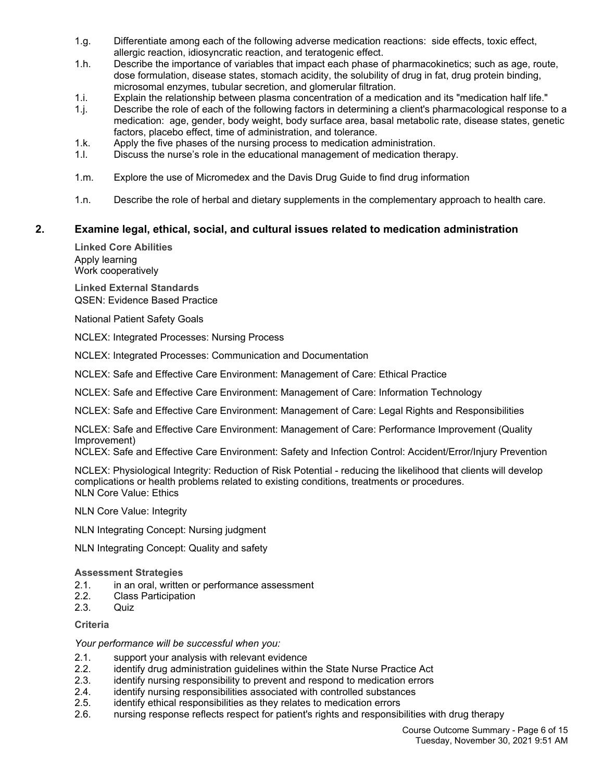- 1.g. Differentiate among each of the following adverse medication reactions: side effects, toxic effect, allergic reaction, idiosyncratic reaction, and teratogenic effect.
- 1.h. Describe the importance of variables that impact each phase of pharmacokinetics; such as age, route, dose formulation, disease states, stomach acidity, the solubility of drug in fat, drug protein binding, microsomal enzymes, tubular secretion, and glomerular filtration.
- 1.i. Explain the relationship between plasma concentration of a medication and its "medication half life."
- 1.j. Describe the role of each of the following factors in determining a client's pharmacological response to a medication: age, gender, body weight, body surface area, basal metabolic rate, disease states, genetic factors, placebo effect, time of administration, and tolerance.
- 1.k. Apply the five phases of the nursing process to medication administration.
- 1.l. Discuss the nurse's role in the educational management of medication therapy.
- 1.m. Explore the use of Micromedex and the Davis Drug Guide to find drug information
- 1.n. Describe the role of herbal and dietary supplements in the complementary approach to health care.

#### **2. Examine legal, ethical, social, and cultural issues related to medication administration**

**Linked Core Abilities** Apply learning Work cooperatively

**Linked External Standards** QSEN: Evidence Based Practice

National Patient Safety Goals

NCLEX: Integrated Processes: Nursing Process

NCLEX: Integrated Processes: Communication and Documentation

NCLEX: Safe and Effective Care Environment: Management of Care: Ethical Practice

NCLEX: Safe and Effective Care Environment: Management of Care: Information Technology

NCLEX: Safe and Effective Care Environment: Management of Care: Legal Rights and Responsibilities

NCLEX: Safe and Effective Care Environment: Management of Care: Performance Improvement (Quality Improvement)

NCLEX: Safe and Effective Care Environment: Safety and Infection Control: Accident/Error/Injury Prevention

NCLEX: Physiological Integrity: Reduction of Risk Potential - reducing the likelihood that clients will develop complications or health problems related to existing conditions, treatments or procedures. NLN Core Value: Ethics

NLN Core Value: Integrity

NLN Integrating Concept: Nursing judgment

NLN Integrating Concept: Quality and safety

#### **Assessment Strategies**

- 2.1. in an oral, written or performance assessment
- 2.2. Class Participation
- 2.3. Quiz

#### **Criteria**

*Your performance will be successful when you:*

- 2.1. support your analysis with relevant evidence
- 2.2. identify drug administration guidelines within the State Nurse Practice Act
- 2.3. identify nursing responsibility to prevent and respond to medication errors
- 2.4. identify nursing responsibilities associated with controlled substances
- 2.5. identify ethical responsibilities as they relates to medication errors
- 2.6. nursing response reflects respect for patient's rights and responsibilities with drug therapy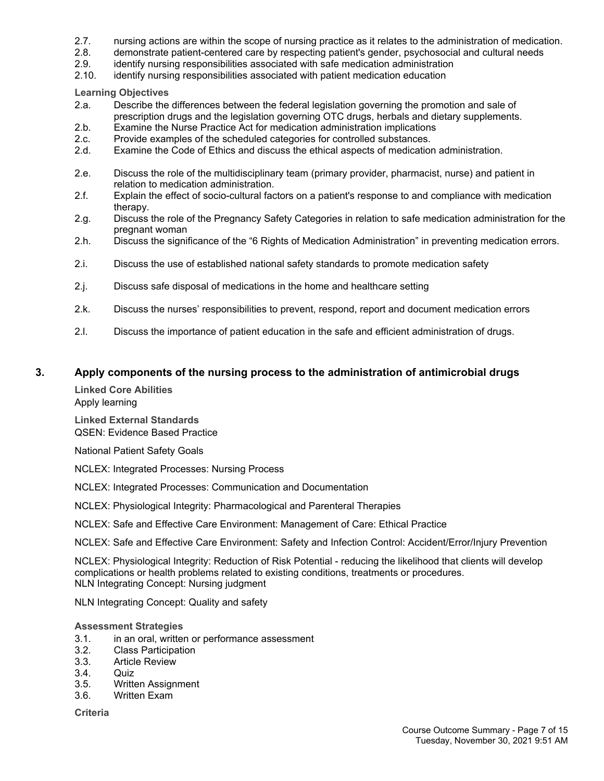- 2.7. nursing actions are within the scope of nursing practice as it relates to the administration of medication.
- 2.8. demonstrate patient-centered care by respecting patient's gender, psychosocial and cultural needs
- 2.9. identify nursing responsibilities associated with safe medication administration
- 2.10. identify nursing responsibilities associated with patient medication education

**Learning Objectives**

- 2.a. Describe the differences between the federal legislation governing the promotion and sale of prescription drugs and the legislation governing OTC drugs, herbals and dietary supplements.
- 2.b. Examine the Nurse Practice Act for medication administration implications
- 2.c. Provide examples of the scheduled categories for controlled substances.
- 2.d. Examine the Code of Ethics and discuss the ethical aspects of medication administration.
- 2.e. Discuss the role of the multidisciplinary team (primary provider, pharmacist, nurse) and patient in relation to medication administration.
- 2.f. Explain the effect of socio-cultural factors on a patient's response to and compliance with medication therapy.
- 2.g. Discuss the role of the Pregnancy Safety Categories in relation to safe medication administration for the pregnant woman
- 2.h. Discuss the significance of the "6 Rights of Medication Administration" in preventing medication errors.
- 2.i. Discuss the use of established national safety standards to promote medication safety
- 2.j. Discuss safe disposal of medications in the home and healthcare setting
- 2.k. Discuss the nurses' responsibilities to prevent, respond, report and document medication errors
- 2.l. Discuss the importance of patient education in the safe and efficient administration of drugs.

#### **3. Apply components of the nursing process to the administration of antimicrobial drugs**

**Linked Core Abilities** Apply learning **Linked External Standards** QSEN: Evidence Based Practice

National Patient Safety Goals

NCLEX: Integrated Processes: Nursing Process

NCLEX: Integrated Processes: Communication and Documentation

NCLEX: Physiological Integrity: Pharmacological and Parenteral Therapies

NCLEX: Safe and Effective Care Environment: Management of Care: Ethical Practice

NCLEX: Safe and Effective Care Environment: Safety and Infection Control: Accident/Error/Injury Prevention

NCLEX: Physiological Integrity: Reduction of Risk Potential - reducing the likelihood that clients will develop complications or health problems related to existing conditions, treatments or procedures. NLN Integrating Concept: Nursing judgment

NLN Integrating Concept: Quality and safety

#### **Assessment Strategies**

- 3.1. in an oral, written or performance assessment<br>3.2. Class Participation
- **Class Participation**
- 3.3. Article Review
- 3.4. Quiz
- 3.5. Written Assignment
- 3.6. Written Exam

**Criteria**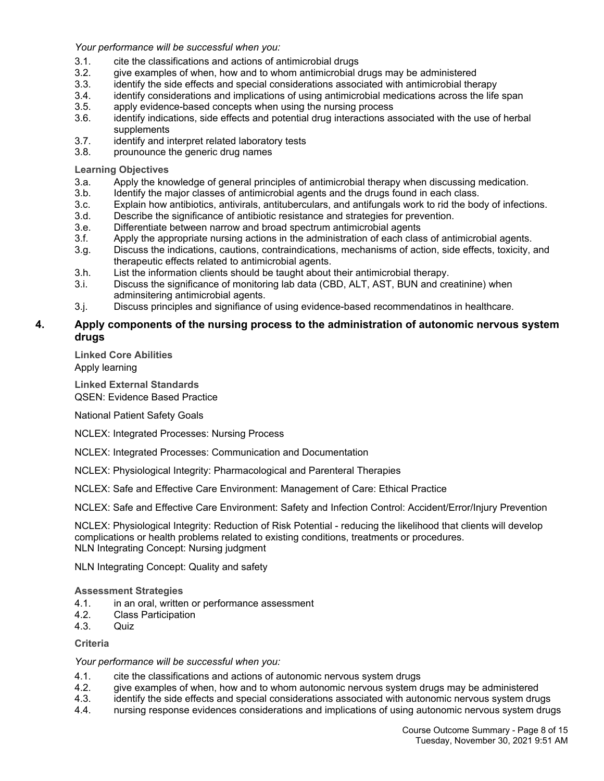*Your performance will be successful when you:*

- 3.1. cite the classifications and actions of antimicrobial drugs
- 3.2. give examples of when, how and to whom antimicrobial drugs may be administered
- 3.3. identify the side effects and special considerations associated with antimicrobial therapy
- 3.4. identify considerations and implications of using antimicrobial medications across the life span
- 3.5. apply evidence-based concepts when using the nursing process
- 3.6. identify indications, side effects and potential drug interactions associated with the use of herbal supplements
- 3.7. identify and interpret related laboratory tests
- 3.8. prounounce the generic drug names

**Learning Objectives**

- 3.a. Apply the knowledge of general principles of antimicrobial therapy when discussing medication.
- 3.b. Identify the major classes of antimicrobial agents and the drugs found in each class.
- 3.c. Explain how antibiotics, antivirals, antituberculars, and antifungals work to rid the body of infections.
- 3.d. Describe the significance of antibiotic resistance and strategies for prevention.
- 3.e. Differentiate between narrow and broad spectrum antimicrobial agents
- 3.f. Apply the appropriate nursing actions in the administration of each class of antimicrobial agents.
- 3.g. Discuss the indications, cautions, contraindications, mechanisms of action, side effects, toxicity, and therapeutic effects related to antimicrobial agents.
- 3.h. List the information clients should be taught about their antimicrobial therapy.
- 3.i. Discuss the significance of monitoring lab data (CBD, ALT, AST, BUN and creatinine) when adminsitering antimicrobial agents.
- 3.j. Discuss principles and signifiance of using evidence-based recommendatinos in healthcare.

#### **4. Apply components of the nursing process to the administration of autonomic nervous system drugs**

**Linked Core Abilities**

Apply learning

**Linked External Standards** QSEN: Evidence Based Practice

National Patient Safety Goals

NCLEX: Integrated Processes: Nursing Process

NCLEX: Integrated Processes: Communication and Documentation

NCLEX: Physiological Integrity: Pharmacological and Parenteral Therapies

NCLEX: Safe and Effective Care Environment: Management of Care: Ethical Practice

NCLEX: Safe and Effective Care Environment: Safety and Infection Control: Accident/Error/Injury Prevention

NCLEX: Physiological Integrity: Reduction of Risk Potential - reducing the likelihood that clients will develop complications or health problems related to existing conditions, treatments or procedures. NLN Integrating Concept: Nursing judgment

NLN Integrating Concept: Quality and safety

**Assessment Strategies**

- 4.1. in an oral, written or performance assessment
- 4.2. Class Participation
- 4.3. Quiz

**Criteria**

*Your performance will be successful when you:*

- 4.1. cite the classifications and actions of autonomic nervous system drugs
- 4.2. give examples of when, how and to whom autonomic nervous system drugs may be administered
- 4.3. identify the side effects and special considerations associated with autonomic nervous system drugs
- 4.4. nursing response evidences considerations and implications of using autonomic nervous system drugs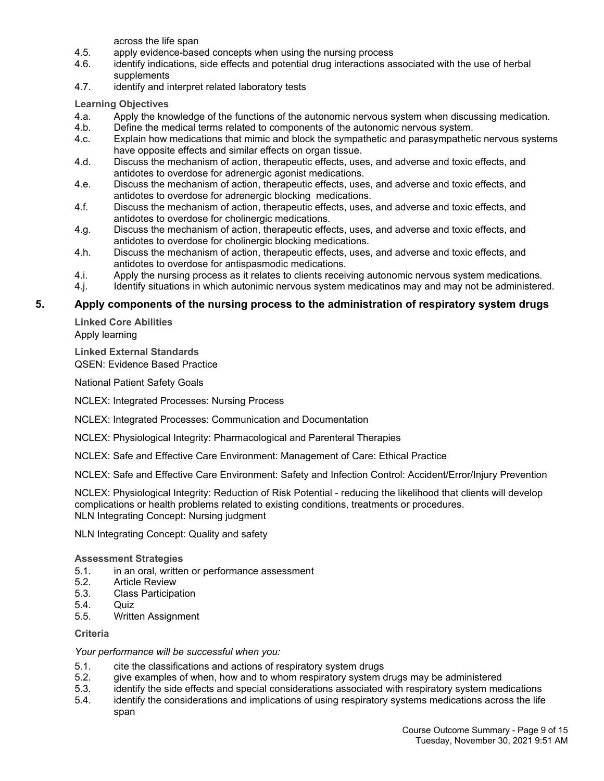across the life span

- 4.5. apply evidence-based concepts when using the nursing process
- 4.6. identify indications, side effects and potential drug interactions associated with the use of herbal supplements
- 4.7. identify and interpret related laboratory tests

**Learning Objectives**

- 4.a. Apply the knowledge of the functions of the autonomic nervous system when discussing medication.
- 4.b. Define the medical terms related to components of the autonomic nervous system.
- 4.c. Explain how medications that mimic and block the sympathetic and parasympathetic nervous systems have opposite effects and similar effects on organ tissue.
- 4.d. Discuss the mechanism of action, therapeutic effects, uses, and adverse and toxic effects, and antidotes to overdose for adrenergic agonist medications.
- 4.e. Discuss the mechanism of action, therapeutic effects, uses, and adverse and toxic effects, and antidotes to overdose for adrenergic blocking medications.
- 4.f. Discuss the mechanism of action, therapeutic effects, uses, and adverse and toxic effects, and antidotes to overdose for cholinergic medications.
- 4.g. Discuss the mechanism of action, therapeutic effects, uses, and adverse and toxic effects, and antidotes to overdose for cholinergic blocking medications.
- 4.h. Discuss the mechanism of action, therapeutic effects, uses, and adverse and toxic effects, and antidotes to overdose for antispasmodic medications.
- 4.i. Apply the nursing process as it relates to clients receiving autonomic nervous system medications.
- 4.j. Identify situations in which autonimic nervous system medicatinos may and may not be administered.

#### **5. Apply components of the nursing process to the administration of respiratory system drugs**

**Linked Core Abilities** Apply learning

**Linked External Standards** QSEN: Evidence Based Practice

National Patient Safety Goals

NCLEX: Integrated Processes: Nursing Process

NCLEX: Integrated Processes: Communication and Documentation

NCLEX: Physiological Integrity: Pharmacological and Parenteral Therapies

NCLEX: Safe and Effective Care Environment: Management of Care: Ethical Practice

NCLEX: Safe and Effective Care Environment: Safety and Infection Control: Accident/Error/Injury Prevention

NCLEX: Physiological Integrity: Reduction of Risk Potential - reducing the likelihood that clients will develop complications or health problems related to existing conditions, treatments or procedures. NLN Integrating Concept: Nursing judgment

NLN Integrating Concept: Quality and safety

#### **Assessment Strategies**

- 5.1. in an oral, written or performance assessment
- 5.2. Article Review
- 5.3. Class Participation
- 5.4. Quiz
- 5.5. Written Assignment

#### **Criteria**

#### *Your performance will be successful when you:*

- 5.1. cite the classifications and actions of respiratory system drugs
- 5.2. give examples of when, how and to whom respiratory system drugs may be administered
- 5.3. identify the side effects and special considerations associated with respiratory system medications
- 5.4. identify the considerations and implications of using respiratory systems medications across the life span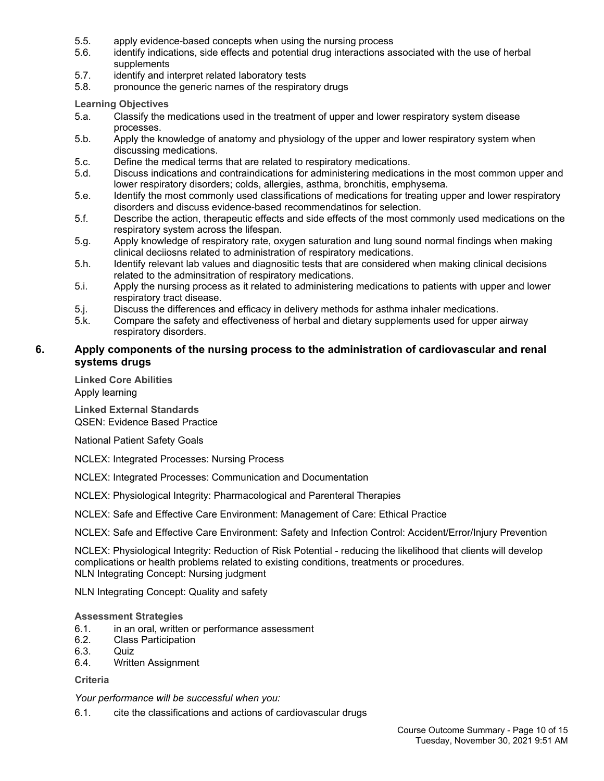- 5.5. apply evidence-based concepts when using the nursing process
- 5.6. identify indications, side effects and potential drug interactions associated with the use of herbal supplements
- 5.7. identify and interpret related laboratory tests
- 5.8. pronounce the generic names of the respiratory drugs

**Learning Objectives**

- 5.a. Classify the medications used in the treatment of upper and lower respiratory system disease processes.
- 5.b. Apply the knowledge of anatomy and physiology of the upper and lower respiratory system when discussing medications.
- 5.c. Define the medical terms that are related to respiratory medications.
- 5.d. Discuss indications and contraindications for administering medications in the most common upper and lower respiratory disorders; colds, allergies, asthma, bronchitis, emphysema.
- 5.e. Identify the most commonly used classifications of medications for treating upper and lower respiratory disorders and discuss evidence-based recommendatinos for selection.
- 5.f. Describe the action, therapeutic effects and side effects of the most commonly used medications on the respiratory system across the lifespan.
- 5.g. Apply knowledge of respiratory rate, oxygen saturation and lung sound normal findings when making clinical deciiosns related to administration of respiratory medications.
- 5.h. Identify relevant lab values and diagnositic tests that are considered when making clinical decisions related to the adminsitration of respiratory medications.
- 5.i. Apply the nursing process as it related to administering medications to patients with upper and lower respiratory tract disease.
- 5.j. Discuss the differences and efficacy in delivery methods for asthma inhaler medications.
- 5.k. Compare the safety and effectiveness of herbal and dietary supplements used for upper airway respiratory disorders.

#### **6. Apply components of the nursing process to the administration of cardiovascular and renal systems drugs**

**Linked Core Abilities** Apply learning

**Linked External Standards** QSEN: Evidence Based Practice

National Patient Safety Goals

NCLEX: Integrated Processes: Nursing Process

NCLEX: Integrated Processes: Communication and Documentation

NCLEX: Physiological Integrity: Pharmacological and Parenteral Therapies

NCLEX: Safe and Effective Care Environment: Management of Care: Ethical Practice

NCLEX: Safe and Effective Care Environment: Safety and Infection Control: Accident/Error/Injury Prevention

NCLEX: Physiological Integrity: Reduction of Risk Potential - reducing the likelihood that clients will develop complications or health problems related to existing conditions, treatments or procedures. NLN Integrating Concept: Nursing judgment

NLN Integrating Concept: Quality and safety

#### **Assessment Strategies**

- 6.1. in an oral, written or performance assessment
- 6.2. Class Participation
- 6.3. Quiz
- 6.4. Written Assignment

#### **Criteria**

*Your performance will be successful when you:*

6.1. cite the classifications and actions of cardiovascular drugs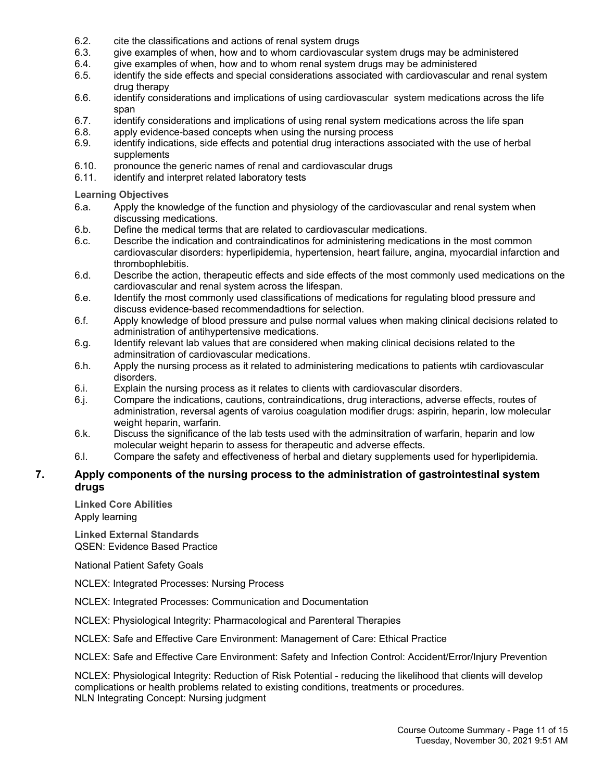- 6.2. cite the classifications and actions of renal system drugs
- 6.3. give examples of when, how and to whom cardiovascular system drugs may be administered
- 6.4. give examples of when, how and to whom renal system drugs may be administered
- 6.5. identify the side effects and special considerations associated with cardiovascular and renal system drug therapy
- 6.6. identify considerations and implications of using cardiovascular system medications across the life span
- 6.7. identify considerations and implications of using renal system medications across the life span
- 6.8. apply evidence-based concepts when using the nursing process
- 6.9. identify indications, side effects and potential drug interactions associated with the use of herbal supplements
- 6.10. pronounce the generic names of renal and cardiovascular drugs
- 6.11. identify and interpret related laboratory tests

**Learning Objectives**

- 6.a. Apply the knowledge of the function and physiology of the cardiovascular and renal system when discussing medications.
- 6.b. Define the medical terms that are related to cardiovascular medications.
- 6.c. Describe the indication and contraindicatinos for administering medications in the most common cardiovascular disorders: hyperlipidemia, hypertension, heart failure, angina, myocardial infarction and thrombophlebitis.
- 6.d. Describe the action, therapeutic effects and side effects of the most commonly used medications on the cardiovascular and renal system across the lifespan.
- 6.e. Identify the most commonly used classifications of medications for regulating blood pressure and discuss evidence-based recommendadtions for selection.
- 6.f. Apply knowledge of blood pressure and pulse normal values when making clinical decisions related to administration of antihypertensive medications.
- 6.g. Identify relevant lab values that are considered when making clinical decisions related to the adminsitration of cardiovascular medications.
- 6.h. Apply the nursing process as it related to administering medications to patients wtih cardiovascular disorders.
- 6.i. Explain the nursing process as it relates to clients with cardiovascular disorders.
- 6.j. Compare the indications, cautions, contraindications, drug interactions, adverse effects, routes of administration, reversal agents of varoius coagulation modifier drugs: aspirin, heparin, low molecular weight heparin, warfarin.
- 6.k. Discuss the significance of the lab tests used with the adminsitration of warfarin, heparin and low molecular weight heparin to assess for therapeutic and adverse effects.
- 6.l. Compare the safety and effectiveness of herbal and dietary supplements used for hyperlipidemia.

#### **7. Apply components of the nursing process to the administration of gastrointestinal system drugs**

**Linked Core Abilities** Apply learning

**Linked External Standards** QSEN: Evidence Based Practice

National Patient Safety Goals

NCLEX: Integrated Processes: Nursing Process

NCLEX: Integrated Processes: Communication and Documentation

NCLEX: Physiological Integrity: Pharmacological and Parenteral Therapies

NCLEX: Safe and Effective Care Environment: Management of Care: Ethical Practice

NCLEX: Safe and Effective Care Environment: Safety and Infection Control: Accident/Error/Injury Prevention

NCLEX: Physiological Integrity: Reduction of Risk Potential - reducing the likelihood that clients will develop complications or health problems related to existing conditions, treatments or procedures. NLN Integrating Concept: Nursing judgment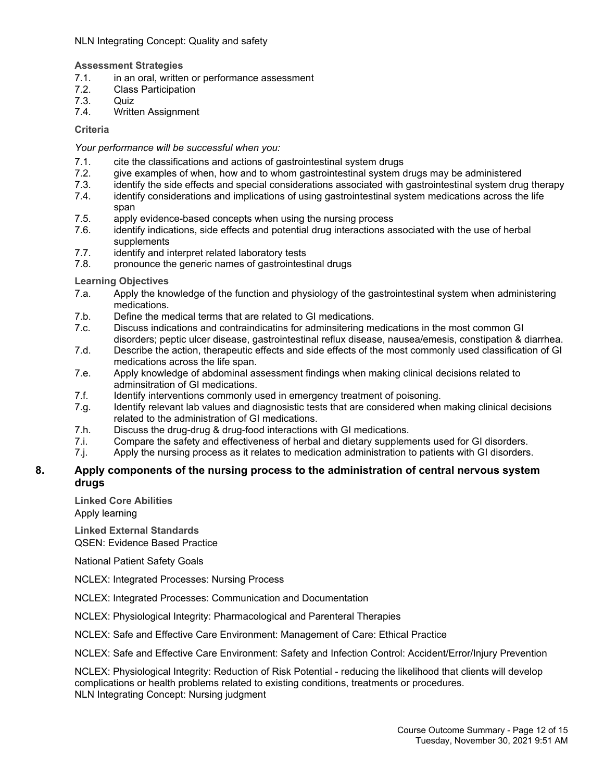#### NLN Integrating Concept: Quality and safety

#### **Assessment Strategies**

- 7.1. in an oral, written or performance assessment
- 7.2. Class Participation
- 7.3. Quiz
- 7.4. Written Assignment

#### **Criteria**

#### *Your performance will be successful when you:*

- 
- 7.1. cite the classifications and actions of gastrointestinal system drugs<br>7.2. give examples of when, how and to whom gastrointestinal system of give examples of when, how and to whom gastrointestinal system drugs may be administered
- 7.3. identify the side effects and special considerations associated with gastrointestinal system drug therapy
- 7.4. identify considerations and implications of using gastrointestinal system medications across the life span
- 7.5. apply evidence-based concepts when using the nursing process
- 7.6. identify indications, side effects and potential drug interactions associated with the use of herbal supplements
- 7.7. identify and interpret related laboratory tests
- 7.8. pronounce the generic names of gastrointestinal drugs

#### **Learning Objectives**

- 7.a. Apply the knowledge of the function and physiology of the gastrointestinal system when administering medications.
- 7.b. Define the medical terms that are related to GI medications.
- 7.c. Discuss indications and contraindicatins for adminsitering medications in the most common GI disorders; peptic ulcer disease, gastrointestinal reflux disease, nausea/emesis, constipation & diarrhea.
- 7.d. Describe the action, therapeutic effects and side effects of the most commonly used classification of GI medications across the life span.
- 7.e. Apply knowledge of abdominal assessment findings when making clinical decisions related to adminsitration of GI medications.
- 7.f. Identify interventions commonly used in emergency treatment of poisoning.
- 7.g. Identify relevant lab values and diagnosistic tests that are considered when making clinical decisions related to the administration of GI medications.
- 7.h. Discuss the drug-drug & drug-food interactions with GI medications.
- 7.i. Compare the safety and effectiveness of herbal and dietary supplements used for GI disorders.
- 7.j. Apply the nursing process as it relates to medication administration to patients with GI disorders.

#### **8. Apply components of the nursing process to the administration of central nervous system drugs**

**Linked Core Abilities**

Apply learning

**Linked External Standards** QSEN: Evidence Based Practice

National Patient Safety Goals

NCLEX: Integrated Processes: Nursing Process

- NCLEX: Integrated Processes: Communication and Documentation
- NCLEX: Physiological Integrity: Pharmacological and Parenteral Therapies

NCLEX: Safe and Effective Care Environment: Management of Care: Ethical Practice

NCLEX: Safe and Effective Care Environment: Safety and Infection Control: Accident/Error/Injury Prevention

NCLEX: Physiological Integrity: Reduction of Risk Potential - reducing the likelihood that clients will develop complications or health problems related to existing conditions, treatments or procedures. NLN Integrating Concept: Nursing judgment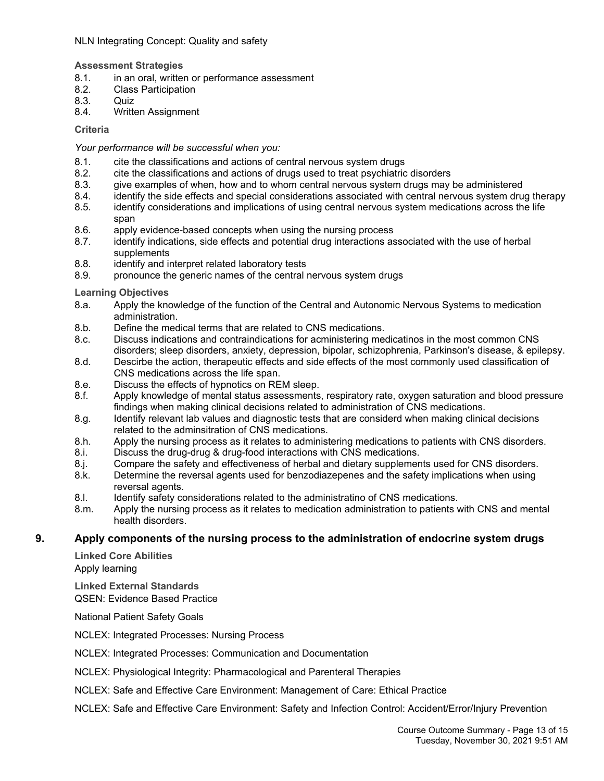#### NLN Integrating Concept: Quality and safety

#### **Assessment Strategies**

- 8.1. in an oral, written or performance assessment
- 8.2. Class Participation
- 8.3. Quiz
- 8.4. Written Assignment

#### **Criteria**

#### *Your performance will be successful when you:*

- 8.1. cite the classifications and actions of central nervous system drugs
- 8.2. cite the classifications and actions of drugs used to treat psychiatric disorders
- 8.3. give examples of when, how and to whom central nervous system drugs may be administered
- 8.4. identify the side effects and special considerations associated with central nervous system drug therapy
- 8.5. identify considerations and implications of using central nervous system medications across the life span
- 8.6. apply evidence-based concepts when using the nursing process
- 8.7. identify indications, side effects and potential drug interactions associated with the use of herbal supplements
- 8.8. identify and interpret related laboratory tests
- 8.9. pronounce the generic names of the central nervous system drugs

#### **Learning Objectives**

- 8.a. Apply the knowledge of the function of the Central and Autonomic Nervous Systems to medication administration.
- 8.b. Define the medical terms that are related to CNS medications.
- 8.c. Discuss indications and contraindications for acministering medicatinos in the most common CNS disorders; sleep disorders, anxiety, depression, bipolar, schizophrenia, Parkinson's disease, & epilepsy.
- 8.d. Descirbe the action, therapeutic effects and side effects of the most commonly used classification of CNS medications across the life span.
- 8.e. Discuss the effects of hypnotics on REM sleep.
- 8.f. Apply knowledge of mental status assessments, respiratory rate, oxygen saturation and blood pressure findings when making clinical decisions related to administration of CNS medications.
- 8.g. Identify relevant lab values and diagnostic tests that are considerd when making clinical decisions related to the adminsitration of CNS medications.
- 8.h. Apply the nursing process as it relates to administering medications to patients with CNS disorders.
- 8.i. Discuss the drug-drug & drug-food interactions with CNS medications.
- 8.j. Compare the safety and effectiveness of herbal and dietary supplements used for CNS disorders.
- 8.k. Determine the reversal agents used for benzodiazepenes and the safety implications when using reversal agents.
- 8.l. Identify safety considerations related to the administratino of CNS medications.
- 8.m. Apply the nursing process as it relates to medication administration to patients with CNS and mental health disorders.

#### **9. Apply components of the nursing process to the administration of endocrine system drugs**

**Linked Core Abilities** Apply learning

**Linked External Standards** QSEN: Evidence Based Practice

National Patient Safety Goals

NCLEX: Integrated Processes: Nursing Process

NCLEX: Integrated Processes: Communication and Documentation

NCLEX: Physiological Integrity: Pharmacological and Parenteral Therapies

NCLEX: Safe and Effective Care Environment: Management of Care: Ethical Practice

NCLEX: Safe and Effective Care Environment: Safety and Infection Control: Accident/Error/Injury Prevention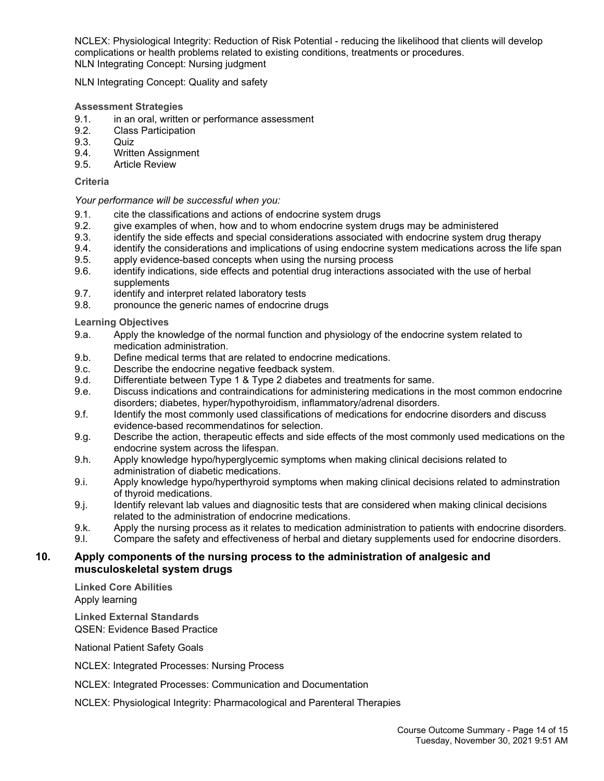NCLEX: Physiological Integrity: Reduction of Risk Potential - reducing the likelihood that clients will develop complications or health problems related to existing conditions, treatments or procedures. NLN Integrating Concept: Nursing judgment

NLN Integrating Concept: Quality and safety

#### **Assessment Strategies**

- 9.1. in an oral, written or performance assessment
- 9.2. Class Participation
- 9.3. Quiz
- 9.4. Written Assignment
- 9.5. Article Review

#### **Criteria**

#### *Your performance will be successful when you:*

- 9.1. cite the classifications and actions of endocrine system drugs
- 9.2. give examples of when, how and to whom endocrine system drugs may be administered
- 9.3. identify the side effects and special considerations associated with endocrine system drug therapy
- 9.4. identify the considerations and implications of using endocrine system medications across the life span
- 9.5. apply evidence-based concepts when using the nursing process
- 9.6. identify indications, side effects and potential drug interactions associated with the use of herbal supplements
- 9.7. identify and interpret related laboratory tests
- 9.8. pronounce the generic names of endocrine drugs

**Learning Objectives**

- 9.a. Apply the knowledge of the normal function and physiology of the endocrine system related to medication administration.
- 9.b. Define medical terms that are related to endocrine medications.
- 9.c. Describe the endocrine negative feedback system.
- 9.d. Differentiate between Type 1 & Type 2 diabetes and treatments for same.
- 9.e. Discuss indications and contraindications for administering medications in the most common endocrine disorders; diabetes, hyper/hypothyroidism, inflammatory/adrenal disorders.
- 9.f. Identify the most commonly used classifications of medications for endocrine disorders and discuss evidence-based recommendatinos for selection.
- 9.g. Describe the action, therapeutic effects and side effects of the most commonly used medications on the endocrine system across the lifespan.
- 9.h. Apply knowledge hypo/hyperglycemic symptoms when making clinical decisions related to administration of diabetic medications.
- 9.i. Apply knowledge hypo/hyperthyroid symptoms when making clinical decisions related to adminstration of thyroid medications.
- 9.j. Identify relevant lab values and diagnositic tests that are considered when making clinical decisions related to the administration of endocrine medications.
- 9.k. Apply the nursing process as it relates to medication administration to patients with endocrine disorders.
- 9.l. Compare the safety and effectiveness of herbal and dietary supplements used for endocrine disorders.

#### **10. Apply components of the nursing process to the administration of analgesic and musculoskeletal system drugs**

**Linked Core Abilities** Apply learning

**Linked External Standards** QSEN: Evidence Based Practice

National Patient Safety Goals

NCLEX: Integrated Processes: Nursing Process

NCLEX: Integrated Processes: Communication and Documentation

NCLEX: Physiological Integrity: Pharmacological and Parenteral Therapies